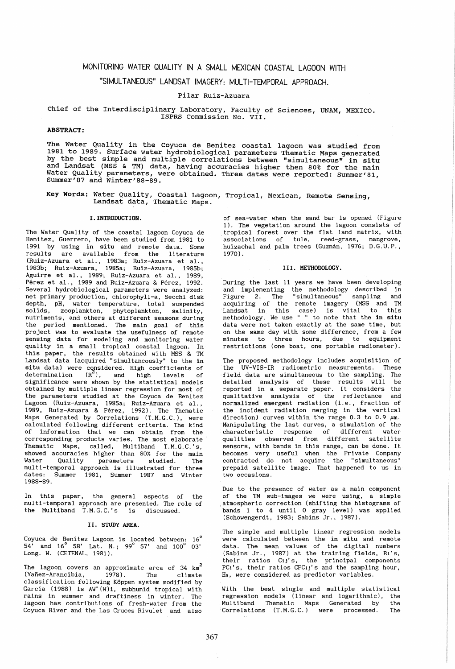# MONITORING WATER QUALITY IN A SMALL MEXICAN COASTAL LAGOON WITH

## "SIMULTANEOUS" LANDSAT IMAGERY: MUL TI-TEMPORAL APPROACH.

## Pilar Ruiz-Azuara

## Chief of the Interdisciplinary Laboratory, Faculty of Sciences, UNAM, MEXICO. ISPRS Commission No. VII.

## ABSTRACT:

The water Quality in the Coyuca de Benitez coastal lagoon was studied from 1981 to 1989. Surface water hydrobiological parameters Thematic Maps generated by the best simple and multiple correlations between "simultaneous" in situ and Landsat (MSS & TM) data, having accuracies higher then 80% for the main Water Quality parameters, were obtained. Three dates were reported: Summer'81,

Key Words: Water Quality, Coastal Lagoon, Tropical, Mexican, Remote Sensing, Landsat data, Thematic Maps.

#### I. INTRODUCTION.

The Water Quality of the coastal lagoon Coyuca de Benitez, Guerrero, have been studied from 1981 to 1991 by using in situ and remote data. Some results are available from the literature (Ruiz-Azuara et al., 1983a; Ruiz-Azuara et al., 1983b; Ruiz-Azuara, 1985a; Ruiz-Azuara, 1985b; Aguirre et al., 1989; Ruiz-Azuara et al., 1989, Pérez et al., 1989 and Ruiz-Azuara & Pérez, 1992. Several hydrobiological parameters were analyzed: net primary production, chlorophyll-a, Secchi disk depth, pH, water temperature, total suspended solids, zooplankton, phytoplankton, salinity, nutriments, and others at different seasons during the period mentioned. The main goal of this project was to evaluate the usefulness of remote sensing data for modeling and monitoring water quality in a small tropical coastal lagoon. In this paper, the results obtained with MSS & TM Landsat data (acquired "simultaneously" to the in situ data) were considered. High coefficients of determination  $(R^2)$ , and high levels of significance were shown by the statistical models obtained by multiple linear regression for most of the parameters studied at the Coyuca de Benitez Lagoon (Ruiz-Azuara, 1985a; Ruiz-Azuara et al., 1989, Ruiz-Azuara & Perez, 1992). The Thematic Maps Generated by Correlations (T.M.G.C.), were calculated following different criteria. The kind of information that we can obtain from the corresponding products varies. The most elaborate Thematic Maps, called, Multiband T.M.G.C.'s, showed accuracies higher than 80% for the main Water Quality parameters studied. The mul ti-temporal approach is illustrated for three dates: Summer 1981, Summer 1987 and Winter 1988-89.

In this paper, the general aspects of the multi-temporal approach are presented. The role of the Multiband T.M.G.C.'s is discussed.

#### II. STUDY AREA.

Coyuca de Benítez Lagoon is located between: 16 $^{\circ}$ 54' and 16° 58' Lat. N.; 99° 57' and 100° 03' Long. W. (CETENAL, 1981).

The lagoon covers an approximate area of  $34 \text{ km}^2$ (Yafiez-Arancibia, 1978). The climate classification following Koppen system modified by García (1988) is  $AW''(W)i$ , subhumid tropical with rains in summer and draftiness in winter. The lagoon has contributions of fresh-water from the Coyuca River and the Las Cruces Rivulet and also of sea-water when the sand bar is opened (Figure 1). The vegetation around the lagoon consists of tropical forest over the flat land matrix, with associations of tule, reed-grass, mangrove, huizachal and palm trees (Guzmán, 1976; D.G.U.P., 1970) .

#### III. METHODOLOGY.

During the last 11 years we have been developing and implementing the methodology described in Figure 2. The "simultaneous" sampling and acquiring of the remote imagery (MSS and TM Landsat in this case) is vital to this methodology. We use " " to note that the in situ data were not taken exactly at the same time, but on the same day with some difference, from a few minutes to three hours, due to equipment restrictions (one boat, one portable radiometer).

The proposed methodology includes acquisition of the UV-VIS-IR radiometric measurements. These . field data are simultaneous to the sampling. The detailed analysis of these results will be reported in a separate paper. It considers the qualitative analysis of the reflectance and .<br>normalized emergent radiation (i.e., fraction of the incident radiation merging in the vertical direction) curves within the range 0.3 to 0.9  $\mu$ m. Manipulating the last curves, a simulation of the characteristic response of different water qualities observed from different satellite sensors, with bands in this range, can be done. It becomes very useful when the Private Company contracted do not acquire the "simultaneous" prepaid satellite image. That happened to us in two occasions.

Due to the presence of water as a main component of the TM sub-images we were using, a simple atmospheric correction (shifting the histograms of bands 1 to 4 until 0 gray level) was applied (Schowengerdt, 1983; Sabins Jr., 1987).

The simple and multiple linear regression models were calculated between the in situ and remote data. The mean values of the digital numbers (Sabins Jr., 1987) at the training fields, Ri'S, their ratios Cij's, the principal components PCi's, their ratios CPCij's and the sampling hour, Hs, were considered as predictor variables.

With the best single and multiple statistical regression models (linear and logarithmic), the Multiband Thematic Maps Generated by Correlations (T.M.G.C.) were processed. The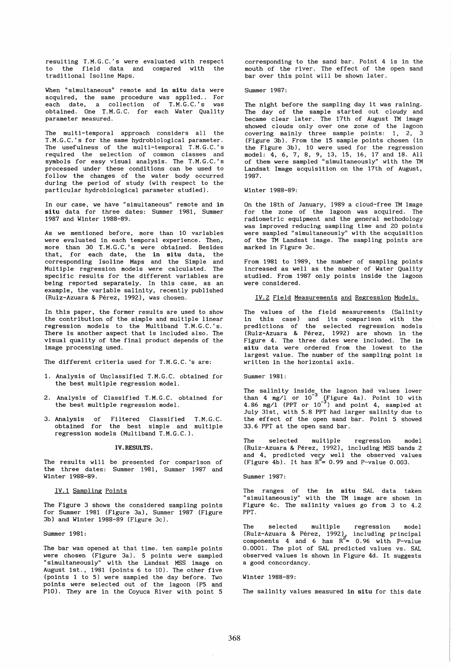resulting T.M.G.C.'s were evaluated with respect to the field data and compared with the traditional Isoline Maps.

When "simultaneous" remote and in situ data were acquired, the same procedure was applied.. For each date, a collection of T.M.G.C.'s was obtained. One T.M.G.C. for each Water Quality parameter measured.

The multi-temporal approach considers all the T.M.G.C.'s for the same hydrobiological parameter. The usefulness of the multi-temporal T.M.G.C.'s required the selection of common classes and symbols for easy visual analysis. The T.M.G.C.' s processed under these conditions can be used to follow the changes of the water body occurred during the period of study (with respect to the particular hydrobiological parameter studied).

In our case, we have "simultaneous" remote and in situ data for three dates: Summer 1981, Summer 1987 and Winter 1988-89.

As we mentioned before, more than 10 variables were evaluated in each temporal experience. Then, more than 30 T.M.G.C.'s were obtained. Besides that, for each date, the in situ data, the corresponding Isoline Maps and the Simple and Multiple regression models were calculated. The specific results for the different variables are being reported separately. In this case, as an example, the variable salinity, recently published (Ruiz-Azuara & Perez, 1992), was chosen.

In this paper, the former results are used to show the contribution of the simple and multiple linear regression models to the Multiband T.M.G.C.'s. There is another aspect that is included also. The visual quality of the final product depends of the image processing used.

The different criteria used for T.M.G.C. 's are:

- 1. Analysis of Unclassified T.M.G.C. obtained for the best multiple regression model.
- 2. Analysis of Classified T.M.G.C. obtained for the best multiple regression model.
- 3. Analysis of Filtered Classified T.M.G.C. obtained for the best simple and multiple regression models (Multiband T.M.G.C.).

#### IV. RESULTS.

The results will be presented for comparison of the three dates: Summer 1981, Summer 1987 and Winter 1988-89.

IV.1 Sampling Points

The Figure 3 shows the considered sampling points for Summer 1981 (Figure 3a), Summer 1987 (Figure 3b) and Winter 1988-89 (Figure 3c).

Summer 1981:

The bar was opened at that time. ten sample points were chosen (Figure 3a). 5 points were sampled "simultaneously" with the Landsat MSS image on August 1st., 1981 (points 6 to 10). The other five (points 1 to 5) were sampled the day before. Two points were selected out of the lagoon (P5 and Pl0). They are in the Coyuca River with point 5

corresponding to the sand bar. Point 4 is in the mouth of the river. The effect of the open sand bar over this point will be shown later.

Summer 1987:

The night before the sampling day it was raining. The day of the sample started out cloudy and became clear later. The 17th of August TM image showed clouds only over one zone of the lagoon covering mainly three sample points: 1, 2, 3 (Figure 3b). From the 15 sample points chosen (in the Figure 3b), 10 were used for the regression model: 4, 6, 7, 8, 9, 13, 15, 16, 17 and 18. All of them were sampled "simultaneously" with the TM Landsat Image acquisition on the 17th of August, 1987.

Winter 1988-89:

On the 18th of January, 1989 a cloud-free TM image for the zone of the lagoon was acquired. The radiometric equipment and the general methodology was improved reducing sampling time and 20 points were sampled "Simultaneously" with the acquisition of the TM Landsat image. The sampling points are marked in Figure 3c.

From 1981 to 1989, the number of sampling points increased as well as the number of Water Quality studied. From 1987 only points inside the lagoon were considered.

IV.2 Field Measurements and Regression Models.

The values of the field measurements (Salinity in this case) and its comparison with the predictions of the selected regression models (Ruiz-Azuara & Perez, 1992) are shown in the Figure 4. The three dates were included. The in situ data were ordered from the lowest to the largest value. The number of the sampling point is written in the horizontal axis.

Summer 1981:

The salinity inside the lagoon had values lower than 4 mg/l or  $10^{-3}$  (Figure 4a). Point 10 with 4.86 mg/l (PPT or  $10^{-3}$ ) and point 4, sampled at July 31st, with 5.8 PPT had larger salinity due to the effect of the open sand bar. Point 5 showed 33.6 PPT at the open sand bar.

The selected multiple regression model (Ruiz-Azuara & Perez, 1992), including MSS bands 2 and 4, predicted very well the observed values (Figure 4b). It has  $R^2 = 0.99$  and P-value 0.003.

Summer 1987:

The ranges of the in situ SAL data taken "s imul taneously" wi th the TM image are shown in Figure 4c. The salinity values go from 3 to 4.2 PPT.

The selected multiple regression model (Ruiz-Azuara & Pérez, 1992), including principal components 4 and 6 has  $R^2 = 0.96$  with P-value 0.0001. The plot of SAL predicted values vs. SAL observed values is shown in Figure 4d. It suggests a good concordancy.

Winter 1988-89:

The salinity values measured in situ for this date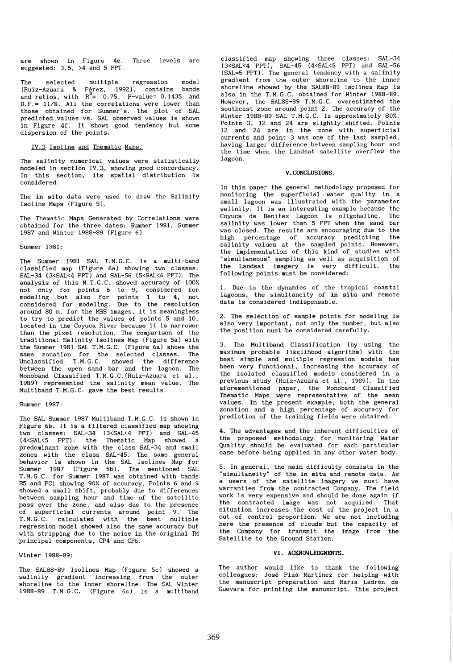are shown in Figure 4e. Three levels are suggested: 3.5, >4 and 5 PPT.

The selected multiple regression model (Ruiz-Azuara & Pérez, 1992), contains bands and ratios, with  $R^2$ = 0.75, P-value= 0.1435 and D.F.= 11/8. All the correlations were lower than those obtained for Summer's. The plot of SAL predicted values vs. SAL observed values is shown .<br>in Figure 4f. It shows good tendency but some dispersion of the points.

IV.3 Isoline and Thematic Maps.

The salinity numerical values were statistically modeled in section IV.3, showing good concordancy. In this section, its spatial distribution is considered.

The in situ data were used to draw the Salinity Isoline Maps (Figure 5).

The Thematic Maps Generated by Correlations were obtained for the three dates: Summer 1981, Summer 1987 and Winter 1988-89 (Figure 6).

Summer 1981:

The Summer 1981 SAL T.M.G.C. is a multi-band classified map (Figure 6a) showing two classes: SAL-34 (3<SAL<4 PPT) and SAL-56 (5<SAL<6 PPT). The analysis of this M.T.G.C. showed accuracy of 100% not only for points 6 to 9, considered for modeling but also for points 1 to 4, not considered for modeling. Due to the resolution around 80 m. for the MSS images, it is meaningless to try to predict the values of points 5 and 10, located in the Coyuca River because it is narrower than the pixel resolution. The comparison of the traditional Salinity Isolines Map (Figure Sa) with the Summer 1981 SAL T.M.G.C. (Figure 6a) shows the same zonation for the selected classes. The Unclassified T.M.G.C. showed the difference between the open sand bar and the lagoon. The Monoband Classified T.M.G.C. (Ruiz-Azuara et al., 1989) represented the salinity mean value. The Multiband T.M.G.C. gave the best results.

Summer 1987:

The SAL Summer 1987 Multiband T.M.G.C. is shown in Figure 6b. It is a filtered classified map showing two classes: SAL-34 (3<SAL<4 PPT) and SAL-45<br>(4<SAL<5 PPT). the Thematic Map showed a Thematic Map showed a predominant zone with the class SAL-34 and small .<br>zones with the class SAL-45. The same general behavior is shown in the SAL Isolines Map for Summer 1987 (Figure 5b). The mentioned SAL T.M.G.C. for Summer 1987 was obtained with bands B5 and PCl showing 90% of accuracy. Points 6 and 9 showed a small shift, probably due to differences between sampling hour and time of the satellite pass over the zone, and also due to the presence .<br>of superficial currents around point 9. The T. M. G. C. calculated with the best multiple regression model showed also the same accuracy but with stripping due to the noise in the original TM principal components, CP4 and CP6.

Winter 1988-89:

The SAL88-89 Isolines Map (Figure 5c) showed a salinity gradient increasing from the outer shoreline to the inner shoreline. The SAL Winter 1988-89 T.M.G.C. (Figure 6c) is a multiband

classified map showing three classes: SAL-34 (3<SAL<4 PPT), SAL-45 (4<SAL<5 ppT) and SAL-56 (SAL=5 PPT). The general tendency with a salinity gradient from the outer shoreline to the inner shoreline showed by the SAL88-89 Isolines Map is also in the T.M.G.C. obtained for Winter 1988-89. However, the SAL88-89 T.M.G.C. overestimated the southeast zone around point 2. The accuracy of the Winter 1988-89 SAL T.M.G.C. is approximately 80%. Points 3, 12 and 24 are slightly shifted. Points 12 and 24 are in the zone with superficial currents and point 3 was one of the last sampled, having larger difference between sampling hour and the time when the Landsat satellite overflew the lagoon.

## V. CONCLUSIONS.

In this paper the general methodology proposed for monitoring the superficial water quality in a small lagoon was illustrated with the parameter salinity. It is an interesting example because the<br>Covuca de Benítez Jagoon, is oligobaline. The Coyuca de Benitez Lagoon is oligohaline. salinity was lower than 5 PPT when the sand bar was closed. The results are encouraging due to the high percentage of accuracy predicting the salinity values at the sampled points. However, the implementation of this kind of studies with "simul taneous" sampling as well as acquisition of the Landsat imagery is very difficult. the following points must be considered:

1. Due to the dynamics of the tropical coastal lagoons, the simultaneity of in situ and remote data is considered indispensable.

2. The selection of sample points for modeling is also very important, not only the number, but also the position must be considered carefully.

3. The Multiband Classification (by using the maximum probable likelihood algorithm) with the best simple and multiple regression models has been very functional, increasing the accuracy of the isolated classified models considered in a previous study (Ruiz-Azuara et al., 1989). In the aforementioned paper, the Monoband Classified Thematic Maps were representative of the mean values. In the present example, both the general zonation and a high percentage of accuracy for prediction of the training fields were obtained.

4. The advantages and the inherent difficulties of the proposed methodology for monitoring Water Quality should be evaluated for each particular case before being applied in any other water body.

5. In general, the main difficulty consists in the "simultaneity" of the in situ and remote data. As a users of the satellite imagery we must have warranties from the contracted Company. The field work is very expensive and should be done again if the contracted image was not acquired. That situation increases the cost of the project in a out of control proportion. We are not including here the presence of clouds but the capacity of the Company for transmit the image from the Satellite to the Ground Station.

### VI. ACKNOWLEDGMENTS.

The author would like to thank the following colleagues: Jose Piza Martinez for helping with the manuscript preparation and María Ladrón de Guevara for printing the manuscript. This project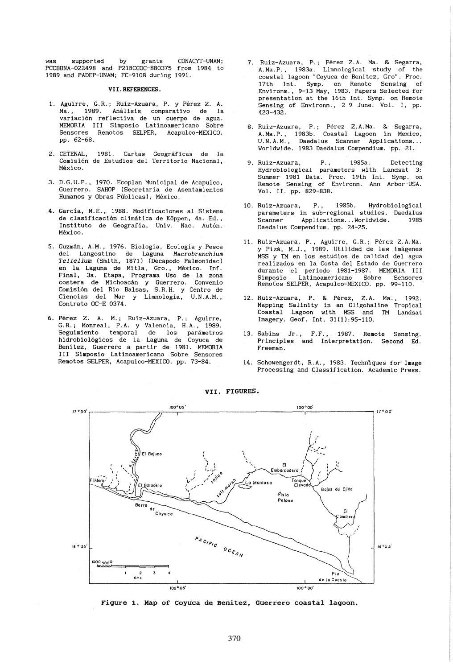was supported by grants CONACYT-UNAM; PCCBBNA-022498 and P218CCOC-880375 from 1984 to 1989 and PADEP-UNAM; FC-9108 during 1991.

#### VII.REFERENCES.

- 1. Aguirre, G.R.; Ruiz-Azuara, P. y Perez Z. A. Análisis comparativo de la variación reflectiva de un cuerpo de agua. MEMORIA III Simposio Latinoamericano Sobre Sensores Remotos SELPER, Acapulco-MEXICO. pp. 62-68.
- 2. CETENAL, 1981. Cartas Geográficas de la Comision de Estudios del Territorio Nacional, México.
- 3. D.G.U.P., 1970. Ecoplan Municipal de Acapulco, Guerrero. SAHOP (Secretaria de Asentamientos Humanos y Obras Públicas), México.
- 4. Garcia, M.E., 1988. Modificaciones al Sistema de clasificación climática de Köppen, 4a. Ed., Instituto de Geografía, Univ. Nac. Autón. México.
- 5. Guzmán, A.M., 1976. Biología, Ecología y Pesca del Langostino de Laguna *Macrobranchium Tellellum* (Smith, 1871) (Decapodo Palmonidac) en la Laguna de Mitla, Gro., México. Inf. Final, 3a. Etapa, Programa Uso de la zona costera de Michoacán y Guerrero. Convenio Comision del Rio Balsas, S. R. H. Y Centro de Ciencias del Mar y Limnologia, U.N.A.M., Contrato OC-E 0374.
- 6. Perez Z. A. M.; Ruiz-Azuara, P.; Aguirre, G.R.; Monreal, P.A. y Valencia, H.A., 1989. Seguimiento temporal hidrobiologicos de la Laguna de Coyuca de Benitez, Guerrero a partir de 1981. MEMORIA III Simposio Latinoamericano Sobre Sensores Remotos SELPER, Acapulco-MEXICO. pp. 73-84.
- 7. Ruiz-Azuara, P.; Pérez Z.A. Ma. & Segarra, A.Ma.P. , 1983a. Limnological study of the coastal lagoon "Coyuca de Benitez, Gro". Proc. 17th Int. Symp. on Remote Sensing of Environm., 9-13 May, 1983. Papers Selected for presentation at the 16th Int. Symp. on Remote Sensing of Environm., 2-9 June. Vol. I, pp. 423-432.
- 8. Ruiz-Azuara, P.; Pérez Z.A.Ma. & Segarra, A.Ma.P., 1983b. Coastal Lagoon in Mexico, U.N.A.M., Daedalus Scanner Applications... Worldwide. 1983 Daedalus Compendium. pp. 21.
- 9. Ruiz-Azuara, P., 1985a. Detecting Hydrobiological parameters with Landsat 3: Summer 1981 Data. Proc. 19th Int. Symp. on Remote Sensing of Environm. Ann Arbor-USA. Vol. II. pp. 829-838.
- 10. Ruiz-Azuara, P., 1985b. Hydrobiological parameters in sub-regional studies. Daedalus .<br>Scanner Applications...Worldwide. 1985 Daedalus Compendium. pp. 24-25.
- 11. Ruiz-Azuara. P., Aguirre, G.R.; Pérez Z.A.Ma. y Piza, M.J., 1989. Utilidad de las Imagenes MSS y TM en los estudios de calidad del agua realizados en la Costa del Estado de Guerrero durante el periodo 1981-1987. MEMORIA III Latinoamericano Remotos SELPER, Acapulco-MEXICO. pp. 99-110.
- 12. Ruiz-Azuara, P. & Perez, Z.A. Ma., 1992. Mapping Salinity in an Oligohaline Tropical Coastal Lagoon with MSS and TM Landsat Imagery. Geof. Int. 31(1):95-110.
- 13. Sabins Jr., F.F., 1987. Remote Sensing. Principles and Interpretation. Second Ed. Freeman.
- 14. Schowengerdt, R.A., 1983. Techniques for Image Processing and Classification. Academic Press.



VII. FIGURES.

Figure 1. Map of Coyuca de Benitez, Guerrero coastal lagoon.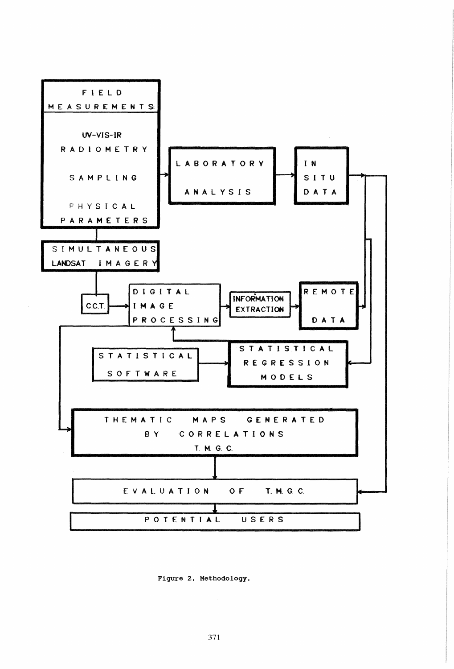

Figure 2. Methodology.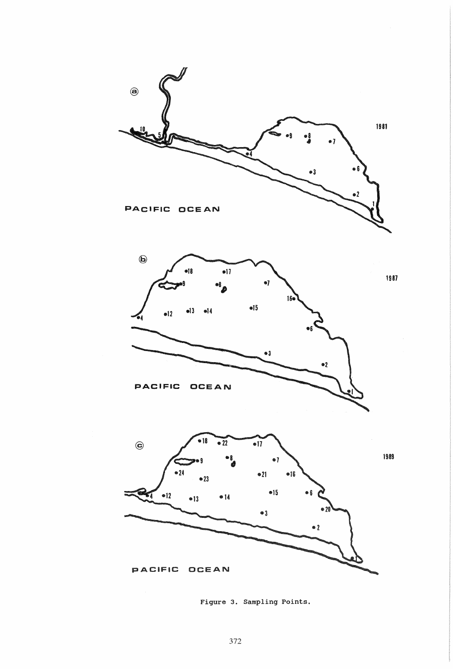

Figure 3. Sampling Points.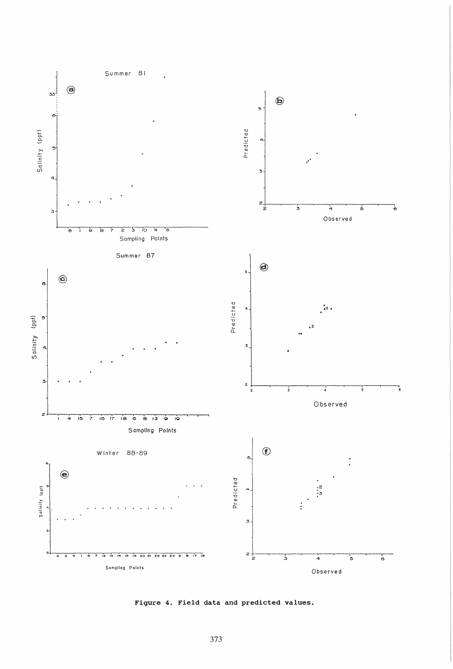

Figure 4. Field data and predicted values.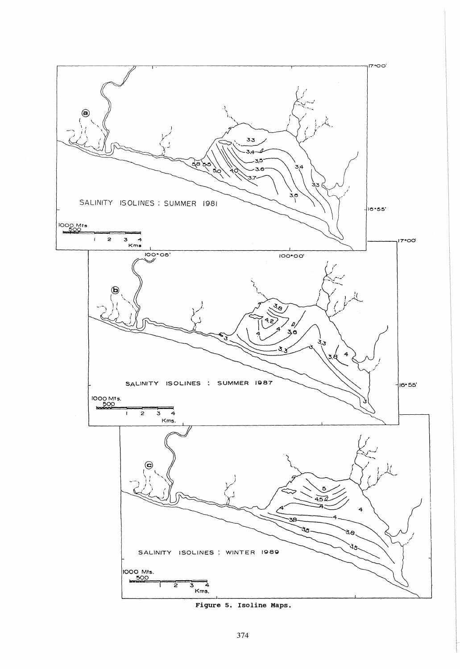

Figure 5. Isoline Maps.